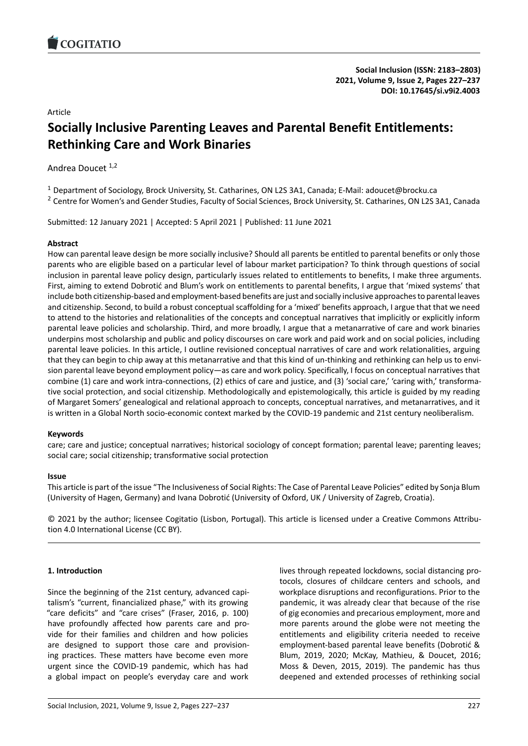# Article

# **Socially Inclusive Parenting Leaves and Parental Benefit Enti[tlements:](https://doi.org/10.17645/si.v9i2.4003) Rethinking Care and Work Binaries**

Andrea Doucet<sup>1,2</sup>

<sup>1</sup> Department of Sociology, Brock University, St. Catharines, ON L2S 3A1, Canada; E-Mail: adoucet@brocku.ca

<sup>2</sup> Centre for Women's and Gender Studies, Faculty of Social Sciences, Brock University, St. Catharines, ON L2S 3A1, Canada

Submitted: 12 January 2021 | Accepted: 5 April 2021 | Published: 11 June 2021

### **Abstract**

How can parental leave design be more socially inclusive? Should all parents be entitled to parental benefits or only those parents who are eligible based on a particular level of labour market participation? To think through questions of social inclusion in parental leave policy design, particularly issues related to entitlements to benefits, I make three arguments. First, aiming to extend Dobrotić and Blum's work on entitlements to parental benefits, I argue that 'mixed systems' that include both citizenship‐based and employment‐based benefits are just and socially inclusive approaches to parental leaves and citizenship. Second, to build a robust conceptual scaffolding for a 'mixed' benefits approach, I argue that that we need to attend to the histories and relationalities of the concepts and conceptual narratives that implicitly or explicitly inform parental leave policies and scholarship. Third, and more broadly, I argue that a metanarrative of care and work binaries underpins most scholarship and public and policy discourses on care work and paid work and on social policies, including parental leave policies. In this article, I outline revisioned conceptual narratives of care and work relationalities, arguing that they can begin to chip away at this metanarrative and that this kind of un-thinking and rethinking can help us to envision parental leave beyond employment policy—as care and work policy. Specifically, I focus on conceptual narratives that combine (1) care and work intra-connections, (2) ethics of care and justice, and (3) 'social care,' 'caring with,' transformative social protection, and social citizenship. Methodologically and epistemologically, this article is guided by my reading of Margaret Somers' genealogical and relational approach to concepts, conceptual narratives, and metanarratives, and it is written in a Global North socio-economic context marked by the COVID-19 pandemic and 21st century neoliberalism.

### **Keywords**

care; care and justice; conceptual narratives; historical sociology of concept formation; parental leave; parenting leaves; social care; social citizenship; transformative social protection

### **Issue**

This article is part of the issue "The Inclusiveness of Social Rights: The Case of Parental Leave Policies" edited by Sonja Blum (University of Hagen, Germany) and Ivana Dobrotić (University of Oxford, UK / University of Zagreb, Croatia).

© 2021 by the author; licensee Cogitatio (Lisbon, Portugal). This article is licensed under a Creative Commons Attribu‐ tion 4.0 International License (CC BY).

# **1. Introduction**

Since the beginning of the 21st century, advanced capi‐ talism's "current, financialized phase," with its growing "care deficits" and "care crises" (Fraser, 2016, p. 100) have profoundly affected how parents care and pro‐ vide for their families and children and how policies are designed to support those care and provision‐ ing practices. These matters have become even more urgent since the COVID‐19 pandemic, which has had a global impact on people's everyday care and work lives through repeated lockdowns, social distancing pro‐ tocols, closures of childcare centers and schools, and workplace disruptions and reconfigurations. Prior to the pandemic, it was already clear that because of the rise of gig economies and precarious employment, more and more parents around the globe were not meeting the entitlements and eligibility criteria needed to receive employment‐based parental leave benefits (Dobrotić & Blum, 2019, 2020; McKay, Mathieu, & Doucet, 2016; Moss & Deven, 2015, 2019). The pandemic has thus deepened and extended processes of rethinking social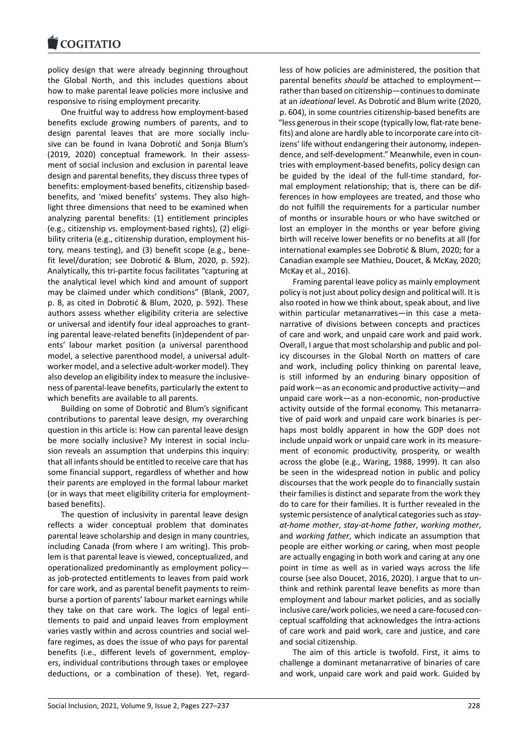policy design that were already beginning throughout [the Global North, a](https://www.cogitatiopress.com)nd this includes questions about how to make parental leave policies more inclusive and responsive to rising employment precarity.

One fruitful way to address how employment‐based benefits exclude growing numbers of parents, and to design parental leaves that are more socially inclu‐ sive can be found in Ivana Dobrotić and Sonja Blum's (2019, 2020) conceptual framework. In their assessment of social inclusion and exclusion in parental leave design and parental benefits, they discuss three types of benefits: employment‐based benefits, citizenship based‐ benefits, and 'mixed benefits' systems. They also high‐ light three dimensions that need to be examined when analyzing parental benefits: (1) entitlement principles (e.g., citizenship vs. employment‐based rights), (2) eligi‐ bility criteria (e.g., citizenship duration, employment his‐ tory, means testing), and (3) benefit scope (e.g., bene‐ fit level/duration; see Dobrotić & Blum, 2020, p. 592). Analytically, this tri‐partite focus facilitates "capturing at the analytical level which kind and amount of support may be claimed under which conditions" (Blank, 2007, p. 8, as cited in Dobrotić & Blum, 2020, p. 592). These authors assess whether eligibility criteria are selective or universal and identify four ideal approaches to grant‐ ing parental leave‐related benefits (in)dependent of par‐ ents' labour market position (a universal parenthood model, a selective parenthood model, a universal adult‐ worker model, and a selective adult‐worker model). They also develop an eligibility index to measure the inclusive‐ ness of parental‐leave benefits, particularly the extent to which benefits are available to all parents.

Building on some of Dobrotić and Blum's significant contributions to parental leave design, my overarching question in this article is: How can parental leave design be more socially inclusive? My interest in social inclusion reveals an assumption that underpins this inquiry: that all infants should be entitled to receive care that has some financial support, regardless of whether and how their parents are employed in the formal labour market (or in ways that meet eligibility criteria for employment‐ based benefits).

The question of inclusivity in parental leave design reflects a wider conceptual problem that dominates parental leave scholarship and design in many countries, including Canada (from where I am writing). This prob‐ lem is that parental leave is viewed, conceptualized, and operationalized predominantly as employment policy as job‐protected entitlements to leaves from paid work for care work, and as parental benefit payments to reim‐ burse a portion of parents' labour market earnings while they take on that care work. The logics of legal enti‐ tlements to paid and unpaid leaves from employment varies vastly within and across countries and social wel‐ fare regimes, as does the issue of who pays for parental benefits (i.e., different levels of government, employ‐ ers, individual contributions through taxes or employee deductions, or a combination of these). Yet, regard‐ less of how policies are administered, the position that parental benefits *should* be attached to employment rather than based on citizenship—continues to dominate at an *ideational* level. As Dobrotić and Blum write (2020, p. 604), in some countries citizenship‐based benefits are "less generous in their scope (typically low, flat‐rate bene‐ fits) and alone are hardly able to incorporate care into citizens' life without endangering their autonomy, indepen‐ dence, and self‐development." Meanwhile, even in coun‐ tries with employment‐based benefits, policy design can be guided by the ideal of the full-time standard, formal employment relationship; that is, there can be dif‐ ferences in how employees are treated, and those who do not fulfill the requirements for a particular number of months or insurable hours or who have switched or lost an employer in the months or year before giving birth will receive lower benefits or no benefits at all (for international examples see Dobrotić & Blum, 2020; for a Canadian example see Mathieu, Doucet, & McKay, 2020; McKay et al., 2016).

Framing parental leave policy as mainly employment policy is not just about policy design and political will. It is also rooted in how we think about, speak about, and live within particular metanarratives—in this case a metanarrative of divisions between concepts and practices of care and work, and unpaid care work and paid work. Overall, I argue that most scholarship and public and pol‐ icy discourses in the Global North on matters of care and work, including policy thinking on parental leave, is still informed by an enduring binary opposition of paid work—as an economic and productive activity—and unpaid care work—as a non‐economic, non‐productive activity outside of the formal economy. This metanarra‐ tive of paid work and unpaid care work binaries is per‐ haps most boldly apparent in how the GDP does not include unpaid work or unpaid care work in its measure‐ ment of economic productivity, prosperity, or wealth across the globe (e.g., Waring, 1988, 1999). It can also be seen in the widespread notion in public and policy discourses that the work people do to financially sustain their families is distinct and separate from the work they do to care for their families. It is further revealed in the systemic persistence of analytical categories such as*stay‐ at‐home mother*, *stay‐at‐home father*, *working mother*, and *working father*, which indicate an assumption that people are either working *or* caring, when most people are actually engaging in both work and caring at any one point in time as well as in varied ways across the life course (see also Doucet, 2016, 2020). I argue that to un‐ think and rethink parental leave benefits as more than employment and labour market policies, and as socially inclusive care/work policies, we need a care‐focused con‐ ceptual scaffolding that acknowledges the intra‐actions of care work and paid work, care and justice, and care and social citizenship.

The aim of this article is twofold. First, it aims to challenge a dominant metanarrative of binaries of care and work, unpaid care work and paid work. Guided by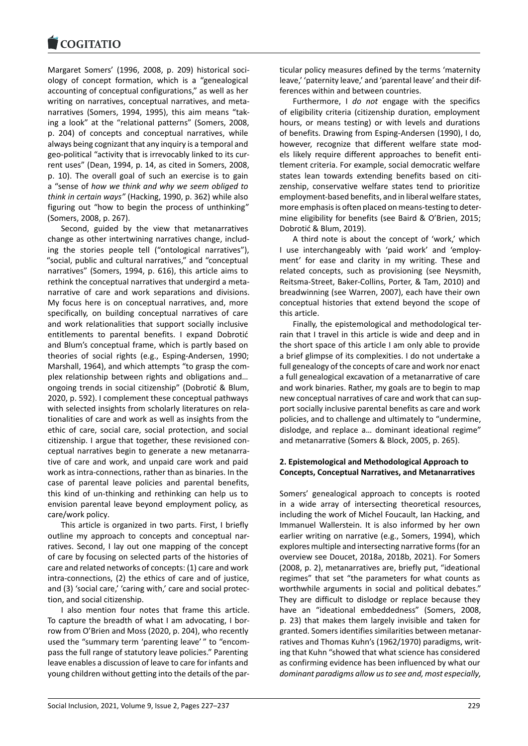#### **COMMITMENT**

Margaret Somers' (1996, 2008, p. 209) historical soci‐ [ology of concept fo](https://www.cogitatiopress.com)rmation, which is a "genealogical accounting of conceptual configurations," as well as her writing on narratives, conceptual narratives, and meta‐ narratives (Somers, 1994, 1995), this aim means "tak‐ ing a look" at the "relational patterns" (Somers, 2008, p. 204) of concepts and conceptual narratives, while always being cognizant that any inquiry is a temporal and geo‐political "activity that is irrevocably linked to its cur‐ rent uses" (Dean, 1994, p. 14, as cited in Somers, 2008, p. 10). The overall goal of such an exercise is to gain a "sense of *how we think and why we seem obliged to think in certain ways"* (Hacking, 1990, p. 362) while also figuring out "how to begin the process of unthinking" (Somers, 2008, p. 267).

Second, guided by the view that metanarratives change as other intertwining narratives change, includ‐ ing the stories people tell ("ontological narratives"), "social, public and cultural narratives," and "conceptual narratives" (Somers, 1994, p. 616), this article aims to rethink the conceptual narratives that undergird a meta‐ narrative of care and work separations and divisions. My focus here is on conceptual narratives, and, more specifically, on building conceptual narratives of care and work relationalities that support socially inclusive entitlements to parental benefits. I expand Dobrotić and Blum's conceptual frame, which is partly based on theories of social rights (e.g., Esping‐Andersen, 1990; Marshall, 1964), and which attempts "to grasp the com‐ plex relationship between rights and obligations and… ongoing trends in social citizenship" (Dobrotić & Blum, 2020, p. 592). I complement these conceptual pathways with selected insights from scholarly literatures on rela‐ tionalities of care and work as well as insights from the ethic of care, social care, social protection, and social citizenship. I argue that together, these revisioned con‐ ceptual narratives begin to generate a new metanarra‐ tive of care and work, and unpaid care work and paid work as intra‐connections, rather than as binaries. In the case of parental leave policies and parental benefits, this kind of un‐thinking and rethinking can help us to envision parental leave beyond employment policy, as care/work policy.

This article is organized in two parts. First, I briefly outline my approach to concepts and conceptual nar‐ ratives. Second, I lay out one mapping of the concept of care by focusing on selected parts of the histories of care and related networks of concepts: (1) care and work intra‐connections, (2) the ethics of care and of justice, and (3) 'social care,' 'caring with,' care and social protection, and social citizenship.

I also mention four notes that frame this article. To capture the breadth of what I am advocating, I bor‐ row from O'Brien and Moss (2020, p. 204), who recently used the "summary term 'parenting leave' " to "encom‐ pass the full range of statutory leave policies." Parenting leave enables a discussion of leave to care for infants and young children without getting into the details of the par‐ ticular policy measures defined by the terms 'maternity leave,' 'paternity leave,' and 'parental leave' and their differences within and between countries.

Furthermore, I *do not* engage with the specifics of eligibility criteria (citizenship duration, employment hours, or means testing) or with levels and durations of benefits. Drawing from Esping‐Andersen (1990), I do, however, recognize that different welfare state mod‐ els likely require different approaches to benefit enti‐ tlement criteria. For example, social democratic welfare states lean towards extending benefits based on citi‐ zenship, conservative welfare states tend to prioritize employment‐based benefits, and in liberal welfare states, more emphasis is often placed on means‐testing to deter‐ mine eligibility for benefits (see Baird & O'Brien, 2015; Dobrotić & Blum, 2019).

A third note is about the concept of 'work,' which I use interchangeably with 'paid work' and 'employ‐ ment' for ease and clarity in my writing. These and related concepts, such as provisioning (see Neysmith, Reitsma‐Street, Baker‐Collins, Porter, & Tam, 2010) and breadwinning (see Warren, 2007), each have their own conceptual histories that extend beyond the scope of this article.

Finally, the epistemological and methodological ter‐ rain that I travel in this article is wide and deep and in the short space of this article I am only able to provide a brief glimpse of its complexities. I do not undertake a full genealogy of the concepts of care and work nor enact a full genealogical excavation of a metanarrative of care and work binaries. Rather, my goals are to begin to map new conceptual narratives of care and work that can sup‐ port socially inclusive parental benefits as care and work policies, and to challenge and ultimately to "undermine, dislodge, and replace a… dominant ideational regime" and metanarrative (Somers & Block, 2005, p. 265).

### **2. Epistemological and Methodological Approach to Concepts, Conceptual Narratives, and Metanarratives**

Somers' genealogical approach to concepts is rooted in a wide array of intersecting theoretical resources, including the work of Michel Foucault, Ian Hacking, and Immanuel Wallerstein. It is also informed by her own earlier writing on narrative (e.g., Somers, 1994), which explores multiple and intersecting narrative forms (for an overview see Doucet, 2018a, 2018b, 2021). For Somers (2008, p. 2), metanarratives are, briefly put, "ideational regimes" that set "the parameters for what counts as worthwhile arguments in social and political debates." They are difficult to dislodge or replace because they have an "ideational embeddedness" (Somers, 2008, p. 23) that makes them largely invisible and taken for granted. Somers identifies similarities between metanar‐ ratives and Thomas Kuhn's (1962/1970) paradigms, writ‐ ing that Kuhn "showed that what science has considered as confirming evidence has been influenced by what our *dominant paradigms allow us to see and, most especially,*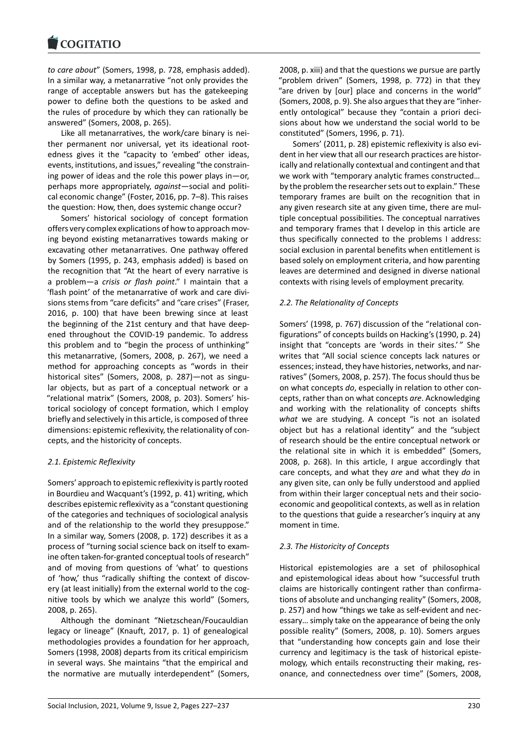### **LOGITATIO**

*to care about*" (Somers, 1998, p. 728, emphasis added). [In a similar way, a m](https://www.cogitatiopress.com)etanarrative "not only provides the range of acceptable answers but has the gatekeeping power to define both the questions to be asked and the rules of procedure by which they can rationally be answered" (Somers, 2008, p. 265).

Like all metanarratives, the work/care binary is nei‐ ther permanent nor universal, yet its ideational root‐ edness gives it the "capacity to 'embed' other ideas, events, institutions, and issues," revealing "the constrain‐ ing power of ideas and the role this power plays in—or, perhaps more appropriately, *against*—social and politi‐ cal economic change" (Foster, 2016, pp. 7–8). This raises the question: How, then, does systemic change occur?

Somers' historical sociology of concept formation offers very complex explications of how to approach mov‐ ing beyond existing metanarratives towards making or excavating other metanarratives. One pathway offered by Somers (1995, p. 243, emphasis added) is based on the recognition that "At the heart of every narrative is a problem—a *crisis or flash point*." I maintain that a 'flash point' of the metanarrative of work and care divi‐ sions stems from "care deficits" and "care crises" (Fraser, 2016, p. 100) that have been brewing since at least the beginning of the 21st century and that have deep‐ ened throughout the COVID‐19 pandemic. To address this problem and to "begin the process of unthinking" this metanarrative, (Somers, 2008, p. 267), we need a method for approaching concepts as "words in their historical sites" (Somers, 2008, p. 287)—not as singular objects, but as part of a conceptual network or a "relational matrix" (Somers, 2008, p. 203). Somers' his‐ torical sociology of concept formation, which I employ briefly and selectively in this article, is composed of three dimensions: epistemic reflexivity, the relationality of con‐ cepts, and the historicity of concepts.

### *2.1. Epistemic Reflexivity*

Somers' approach to epistemic reflexivity is partly rooted in Bourdieu and Wacquant's (1992, p. 41) writing, which describes epistemic reflexivity as a "constant questioning of the categories and techniques of sociological analysis and of the relationship to the world they presuppose." In a similar way, Somers (2008, p. 172) describes it as a process of "turning social science back on itself to exam‐ ine often taken‐for‐granted conceptual tools of research" and of moving from questions of 'what' to questions of 'how,' thus "radically shifting the context of discov‐ ery (at least initially) from the external world to the cognitive tools by which we analyze this world" (Somers, 2008, p. 265).

Although the dominant "Nietzschean/Foucauldian legacy or lineage" (Knauft, 2017, p. 1) of genealogical methodologies provides a foundation for her approach, Somers (1998, 2008) departs from its critical empiricism in several ways. She maintains "that the empirical and the normative are mutually interdependent" (Somers, 2008, p. xiii) and that the questions we pursue are partly "problem driven" (Somers, 1998, p. 772) in that they "are driven by [our] place and concerns in the world" (Somers, 2008, p. 9). She also argues that they are "inher‐ ently ontological" because they "contain a priori deci‐ sions about how we understand the social world to be constituted" (Somers, 1996, p. 71).

Somers' (2011, p. 28) epistemic reflexivity is also evi‐ dent in her view that all our research practices are histor‐ ically and relationally contextual and contingent and that we work with "temporary analytic frames constructed… by the problem the researcher sets out to explain." These temporary frames are built on the recognition that in any given research site at any given time, there are multiple conceptual possibilities. The conceptual narratives and temporary frames that I develop in this article are thus specifically connected to the problems I address: social exclusion in parental benefits when entitlement is based solely on employment criteria, and how parenting leaves are determined and designed in diverse national contexts with rising levels of employment precarity.

# *2.2. The Relationality of Concepts*

Somers' (1998, p. 767) discussion of the "relational con‐ figurations" of concepts builds on Hacking's (1990, p. 24) insight that "concepts are 'words in their sites.'" She writes that "All social science concepts lack natures or essences; instead, they have histories, networks, and nar‐ ratives" (Somers, 2008, p. 257). The focus should thus be on what concepts *do*, especially in relation to other con‐ cepts, rather than on what concepts *are*. Acknowledging and working with the relationality of concepts shifts *what* we are studying. A concept "is not an isolated object but has a relational identity" and the "subject of research should be the entire conceptual network or the relational site in which it is embedded" (Somers, 2008, p. 268). In this article, I argue accordingly that care concepts, and what they *are* and what they *do* in any given site, can only be fully understood and applied from within their larger conceptual nets and their socioeconomic and geopolitical contexts, as well as in relation to the questions that guide a researcher's inquiry at any moment in time.

# *2.3. The Historicity of Concepts*

Historical epistemologies are a set of philosophical and epistemological ideas about how "successful truth claims are historically contingent rather than confirma‐ tions of absolute and unchanging reality" (Somers, 2008, p. 257) and how "things we take as self‐evident and nec‐ essary… simply take on the appearance of being the only possible reality" (Somers, 2008, p. 10). Somers argues that "understanding how concepts gain and lose their currency and legitimacy is the task of historical episte‐ mology, which entails reconstructing their making, resonance, and connectedness over time" (Somers, 2008,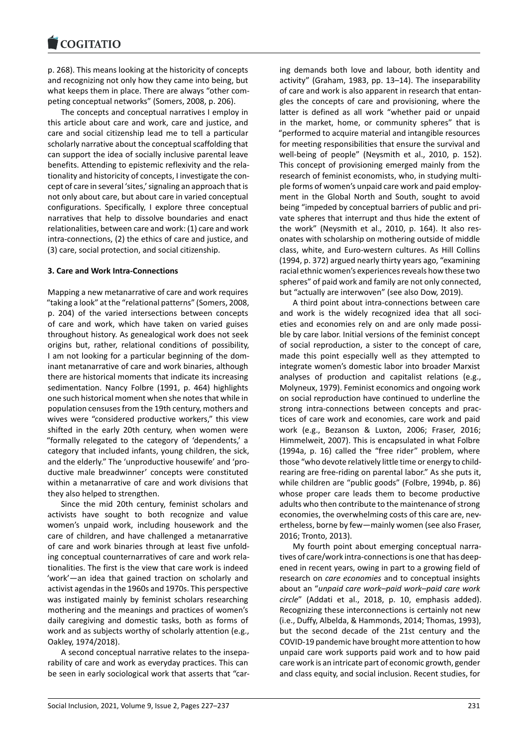p. 268). This means looking at the historicity of concepts [and recognizing not](https://www.cogitatiopress.com) only how they came into being, but what keeps them in place. There are always "other com‐ peting conceptual networks" (Somers, 2008, p. 206).

The concepts and conceptual narratives I employ in this article about care and work, care and justice, and care and social citizenship lead me to tell a particular scholarly narrative about the conceptual scaffolding that can support the idea of socially inclusive parental leave benefits. Attending to epistemic reflexivity and the rela‐ tionality and historicity of concepts, I investigate the con‐ cept of care in several 'sites,' signaling an approach that is not only about care, but about care in varied conceptual configurations. Specifically, I explore three conceptual narratives that help to dissolve boundaries and enact relationalities, between care and work: (1) care and work intra‐connections, (2) the ethics of care and justice, and (3) care, social protection, and social citizenship.

### **3. Care and Work Intra‐Connections**

Mapping a new metanarrative of care and work requires "taking a look" at the "relational patterns" (Somers, 2008, p. 204) of the varied intersections between concepts of care and work, which have taken on varied guises throughout history. As genealogical work does not seek origins but, rather, relational conditions of possibility, I am not looking for a particular beginning of the dom‐ inant metanarrative of care and work binaries, although there are historical moments that indicate its increasing sedimentation. Nancy Folbre (1991, p. 464) highlights one such historical moment when she notes that while in population censuses from the 19th century, mothers and wives were "considered productive workers," this view shifted in the early 20th century, when women were "formally relegated to the category of 'dependents,' a category that included infants, young children, the sick, and the elderly." The 'unproductive housewife' and 'pro‐ ductive male breadwinner' concepts were constituted within a metanarrative of care and work divisions that they also helped to strengthen.

Since the mid 20th century, feminist scholars and activists have sought to both recognize and value women's unpaid work, including housework and the care of children, and have challenged a metanarrative of care and work binaries through at least five unfold‐ ing conceptual counternarratives of care and work rela‐ tionalities. The first is the view that care work is indeed 'work'—an idea that gained traction on scholarly and activist agendas in the 1960s and 1970s. This perspective was instigated mainly by feminist scholars researching mothering and the meanings and practices of women's daily caregiving and domestic tasks, both as forms of work and as subjects worthy of scholarly attention (e.g., Oakley, 1974/2018).

A second conceptual narrative relates to the insepa‐ rability of care and work as everyday practices. This can be seen in early sociological work that asserts that "car‐ ing demands both love and labour, both identity and activity" (Graham, 1983, pp. 13–14). The inseparability of care and work is also apparent in research that entan‐ gles the concepts of care and provisioning, where the latter is defined as all work "whether paid or unpaid in the market, home, or community spheres" that is "performed to acquire material and intangible resources for meeting responsibilities that ensure the survival and well-being of people" (Neysmith et al., 2010, p. 152). This concept of provisioning emerged mainly from the research of feminist economists, who, in studying multi‐ ple forms of women's unpaid care work and paid employment in the Global North and South, sought to avoid being "impeded by conceptual barriers of public and pri‐ vate spheres that interrupt and thus hide the extent of the work" (Neysmith et al., 2010, p. 164). It also res‐ onates with scholarship on mothering outside of middle class, white, and Euro‐western cultures. As Hill Collins (1994, p. 372) argued nearly thirty years ago, "examining racial ethnic women's experiences reveals how these two spheres" of paid work and family are not only connected, but "actually are interwoven" (see also Dow, 2019).

A third point about intra‐connections between care and work is the widely recognized idea that all soci‐ eties and economies rely on and are only made possi‐ ble by care labor. Initial versions of the feminist concept of social reproduction, a sister to the concept of care, made this point especially well as they attempted to integrate women's domestic labor into broader Marxist analyses of production and capitalist relations (e.g., Molyneux, 1979). Feminist economics and ongoing work on social reproduction have continued to underline the strong intra‐connections between concepts and prac‐ tices of care work and economies, care work and paid work (e.g., Bezanson & Luxton, 2006; Fraser, 2016; Himmelweit, 2007). This is encapsulated in what Folbre (1994a, p. 16) called the "free rider" problem, where those "who devote relatively little time or energy to child‐ rearing are free‐riding on parental labor." As she puts it, while children are "public goods" (Folbre, 1994b, p. 86) whose proper care leads them to become productive adults who then contribute to the maintenance of strong economies, the overwhelming costs of this care are, nev‐ ertheless, borne by few—mainly women (see also Fraser, 2016; Tronto, 2013).

My fourth point about emerging conceptual narra‐ tives of care/work intra‐connections is one that has deep‐ ened in recent years, owing in part to a growing field of research on *care economies* and to conceptual insights about an "*unpaid care work–paid work–paid care work circle*" (Addati et al., 2018, p. 10, emphasis added). Recognizing these interconnections is certainly not new (i.e., Duffy, Albelda, & Hammonds, 2014; Thomas, 1993), but the second decade of the 21st century and the COVID‐19 pandemic have brought more attention to how unpaid care work supports paid work and to how paid care work is an intricate part of economic growth, gender and class equity, and social inclusion. Recent studies, for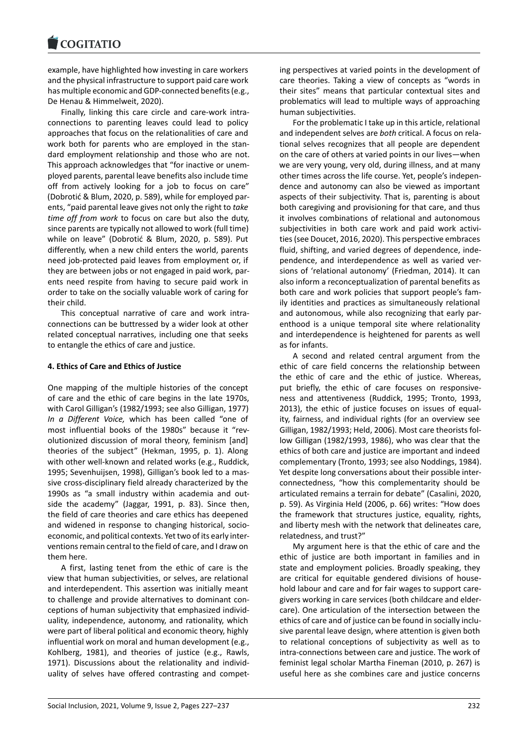example, have highlighted how investing in care workers [and the physical infra](https://www.cogitatiopress.com)structure to support paid care work has multiple economic and GDP‐connected benefits (e.g., De Henau & Himmelweit, 2020).

Finally, linking this care circle and care‐work intra‐ connections to parenting leaves could lead to policy approaches that focus on the relationalities of care and work both for parents who are employed in the standard employment relationship and those who are not. This approach acknowledges that "for inactive or unem‐ ployed parents, parental leave benefits also include time off from actively looking for a job to focus on care" (Dobrotić & Blum, 2020, p. 589), while for employed par‐ ents, "paid parental leave gives not only the right to *take time off from work* to focus on care but also the duty, since parents are typically not allowed to work (full time) while on leave" (Dobrotić & Blum, 2020, p. 589). Put differently, when a new child enters the world, parents need job‐protected paid leaves from employment or, if they are between jobs or not engaged in paid work, par‐ ents need respite from having to secure paid work in order to take on the socially valuable work of caring for their child.

This conceptual narrative of care and work intra‐ connections can be buttressed by a wider look at other related conceptual narratives, including one that seeks to entangle the ethics of care and justice.

### **4. Ethics of Care and Ethics of Justice**

One mapping of the multiple histories of the concept of care and the ethic of care begins in the late 1970s, with Carol Gilligan's (1982/1993; see also Gilligan, 1977) *In a Different Voice,* which has been called "one of most influential books of the 1980s" because it "revolutionized discussion of moral theory, feminism [and] theories of the subject" (Hekman, 1995, p. 1). Along with other well-known and related works (e.g., Ruddick, 1995; Sevenhuijsen, 1998), Gilligan's book led to a mas‐ sive cross‐disciplinary field already characterized by the 1990s as "a small industry within academia and out‐ side the academy" (Jaggar, 1991, p. 83). Since then, the field of care theories and care ethics has deepened and widened in response to changing historical, socio‐ economic, and political contexts. Yet two of its early inter‐ ventions remain central to the field of care, and I draw on them here.

A first, lasting tenet from the ethic of care is the view that human subjectivities, or selves, are relational and interdependent. This assertion was initially meant to challenge and provide alternatives to dominant con‐ ceptions of human subjectivity that emphasized individ‐ uality, independence, autonomy, and rationality, which were part of liberal political and economic theory, highly influential work on moral and human development (e.g., Kohlberg, 1981), and theories of justice (e.g., Rawls, 1971). Discussions about the relationality and individ‐ uality of selves have offered contrasting and compet‐ ing perspectives at varied points in the development of care theories. Taking a view of concepts as "words in their sites" means that particular contextual sites and problematics will lead to multiple ways of approaching human subjectivities.

For the problematic I take up in this article, relational and independent selves are *both* critical. A focus on rela‐ tional selves recognizes that all people are dependent on the care of others at varied points in our lives—when we are very young, very old, during illness, and at many other times across the life course. Yet, people's indepen‐ dence and autonomy can also be viewed as important aspects of their subjectivity. That is, parenting is about both caregiving and provisioning for that care, and thus it involves combinations of relational and autonomous subjectivities in both care work and paid work activi‐ ties (see Doucet, 2016, 2020). This perspective embraces fluid, shifting, and varied degrees of dependence, inde‐ pendence, and interdependence as well as varied ver‐ sions of 'relational autonomy' (Friedman, 2014). It can also inform a reconceptualization of parental benefits as both care and work policies that support people's fam‐ ily identities and practices as simultaneously relational and autonomous, while also recognizing that early par‐ enthood is a unique temporal site where relationality and interdependence is heightened for parents as well as for infants.

A second and related central argument from the ethic of care field concerns the relationship between the ethic of care and the ethic of justice. Whereas, put briefly, the ethic of care focuses on responsive‐ ness and attentiveness (Ruddick, 1995; Tronto, 1993, 2013), the ethic of justice focuses on issues of equal‐ ity, fairness, and individual rights (for an overview see Gilligan, 1982/1993; Held, 2006). Most care theorists fol‐ low Gilligan (1982/1993, 1986), who was clear that the ethics of both care and justice are important and indeed complementary (Tronto, 1993; see also Noddings, 1984). Yet despite long conversations about their possible inter‐ connectedness, "how this complementarity should be articulated remains a terrain for debate" (Casalini, 2020, p. 59). As Virginia Held (2006, p. 66) writes: "How does the framework that structures justice, equality, rights, and liberty mesh with the network that delineates care, relatedness, and trust?"

My argument here is that the ethic of care and the ethic of justice are both important in families and in state and employment policies. Broadly speaking, they are critical for equitable gendered divisions of house‐ hold labour and care and for fair wages to support care‐ givers working in care services (both childcare and elder‐ care). One articulation of the intersection between the ethics of care and of justice can be found in socially inclu‐ sive parental leave design, where attention is given both to relational conceptions of subjectivity as well as to intra‐connections between care and justice. The work of feminist legal scholar Martha Fineman (2010, p. 267) is useful here as she combines care and justice concerns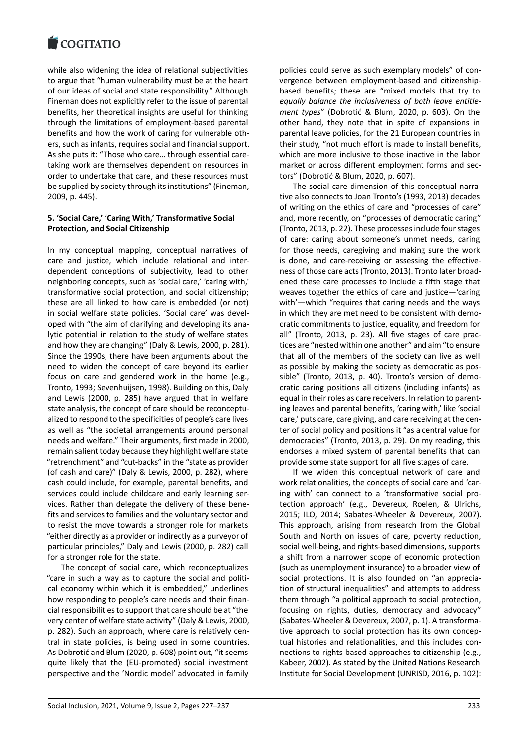while also widening the idea of relational subjectivities [to argue that "huma](https://www.cogitatiopress.com)n vulnerability must be at the heart of our ideas of social and state responsibility." Although Fineman does not explicitly refer to the issue of parental benefits, her theoretical insights are useful for thinking through the limitations of employment‐based parental benefits and how the work of caring for vulnerable oth‐ ers, such as infants, requires social and financial support. As she puts it: "Those who care… through essential care‐ taking work are themselves dependent on resources in order to undertake that care, and these resources must be supplied by society through its institutions" (Fineman, 2009, p. 445).

# **5. 'Social Care,' 'Caring With,' Transformative Social Protection, and Social Citizenship**

In my conceptual mapping, conceptual narratives of care and justice, which include relational and inter‐ dependent conceptions of subjectivity, lead to other neighboring concepts, such as 'social care,' 'caring with,' transformative social protection, and social citizenship; these are all linked to how care is embedded (or not) in social welfare state policies. 'Social care' was devel‐ oped with "the aim of clarifying and developing its ana‐ lytic potential in relation to the study of welfare states and how they are changing" (Daly & Lewis, 2000, p. 281). Since the 1990s, there have been arguments about the need to widen the concept of care beyond its earlier focus on care and gendered work in the home (e.g., Tronto, 1993; Sevenhuijsen, 1998). Building on this, Daly and Lewis (2000, p. 285) have argued that in welfare state analysis, the concept of care should be reconceptu‐ alized to respond to the specificities of people's care lives as well as "the societal arrangements around personal needs and welfare." Their arguments, first made in 2000, remain salient today because they highlight welfare state "retrenchment" and "cut‐backs" in the "state as provider (of cash and care)" (Daly & Lewis, 2000, p. 282), where cash could include, for example, parental benefits, and services could include childcare and early learning services. Rather than delegate the delivery of these bene‐ fits and services to families and the voluntary sector and to resist the move towards a stronger role for markets "either directly as a provider or indirectly as a purveyor of particular principles," Daly and Lewis (2000, p. 282) call for a stronger role for the state.

The concept of social care, which reconceptualizes "care in such a way as to capture the social and politi‐ cal economy within which it is embedded," underlines how responding to people's care needs and their finan‐ cial responsibilities to support that care should be at "the very center of welfare state activity" (Daly & Lewis, 2000, p. 282). Such an approach, where care is relatively cen‐ tral in state policies, is being used in some countries. As Dobrotić and Blum (2020, p. 608) point out, "it seems quite likely that the (EU‐promoted) social investment perspective and the 'Nordic model' advocated in family

policies could serve as such exemplary models" of con‐ vergence between employment‐based and citizenship‐ based benefits; these are "mixed models that try to *equally balance the inclusiveness of both leave entitle‐ ment types*" (Dobrotić & Blum, 2020, p. 603). On the other hand, they note that in spite of expansions in parental leave policies, for the 21 European countries in their study, "not much effort is made to install benefits, which are more inclusive to those inactive in the labor market or across different employment forms and sec‐ tors" (Dobrotić & Blum, 2020, p. 607).

The social care dimension of this conceptual narra‐ tive also connects to Joan Tronto's (1993, 2013) decades of writing on the ethics of care and "processes of care" and, more recently, on "processes of democratic caring" (Tronto, 2013, p. 22). These processes include four stages of care: caring about someone's unmet needs, caring for those needs, caregiving and making sure the work is done, and care-receiving or assessing the effectiveness of those care acts (Tronto, 2013). Tronto later broad‐ ened these care processes to include a fifth stage that weaves together the ethics of care and justice—'caring with'—which "requires that caring needs and the ways in which they are met need to be consistent with demo‐ cratic commitments to justice, equality, and freedom for all" (Tronto, 2013, p. 23). All five stages of care prac‐ tices are "nested within one another" and aim "to ensure that all of the members of the society can live as well as possible by making the society as democratic as pos‐ sible" (Tronto, 2013, p. 40). Tronto's version of demo‐ cratic caring positions all citizens (including infants) as equal in their roles as care receivers. In relation to parenting leaves and parental benefits, 'caring with,' like 'social care,' puts care, care giving, and care receiving at the cen‐ ter of social policy and positions it "as a central value for democracies" (Tronto, 2013, p. 29). On my reading, this endorses a mixed system of parental benefits that can provide some state support for all five stages of care.

If we widen this conceptual network of care and work relationalities, the concepts of social care and 'car‐ ing with' can connect to a 'transformative social pro‐ tection approach' (e.g., Devereux, Roelen, & Ulrichs, 2015; ILO, 2014; Sabates‐Wheeler & Devereux, 2007). This approach, arising from research from the Global South and North on issues of care, poverty reduction, social well‐being, and rights‐based dimensions, supports a shift from a narrower scope of economic protection (such as unemployment insurance) to a broader view of social protections. It is also founded on "an appreciation of structural inequalities" and attempts to address them through "a political approach to social protection, focusing on rights, duties, democracy and advocacy" (Sabates‐Wheeler & Devereux, 2007, p. 1). A transforma‐ tive approach to social protection has its own concep‐ tual histories and relationalities, and this includes con‐ nections to rights‐based approaches to citizenship (e.g., Kabeer, 2002). As stated by the United Nations Research Institute for Social Development (UNRISD, 2016, p. 102):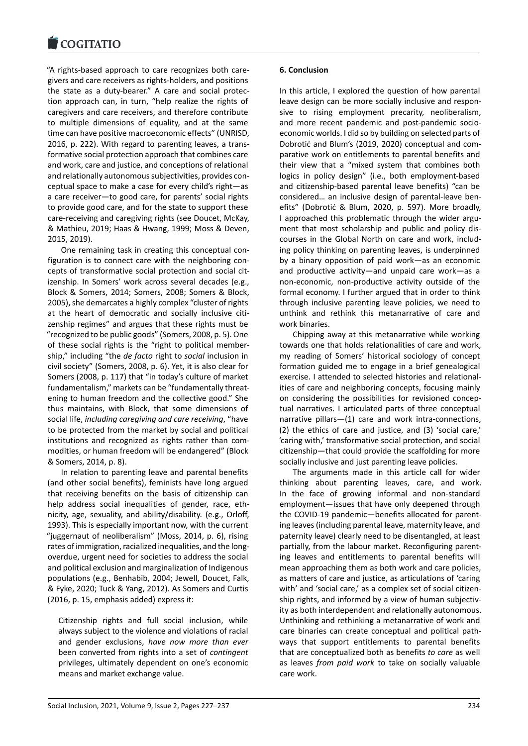#### COQUATIO

"A rights‐based approach to care recognizes both care‐ [givers and care receiv](https://www.cogitatiopress.com)ers as rights‐holders, and positions the state as a duty‐bearer." A care and social protec‐ tion approach can, in turn, "help realize the rights of caregivers and care receivers, and therefore contribute to multiple dimensions of equality, and at the same time can have positive macroeconomic effects" (UNRISD, 2016, p. 222). With regard to parenting leaves, a trans‐ formative social protection approach that combines care and work, care and justice, and conceptions of relational and relationally autonomous subjectivities, provides con‐ ceptual space to make a case for every child's right—as a care receiver—to good care, for parents' social rights to provide good care, and for the state to support these care‐receiving and caregiving rights (see Doucet, McKay, & Mathieu, 2019; Haas & Hwang, 1999; Moss & Deven, 2015, 2019).

One remaining task in creating this conceptual con‐ figuration is to connect care with the neighboring con‐ cepts of transformative social protection and social cit‐ izenship. In Somers' work across several decades (e.g., Block & Somers, 2014; Somers, 2008; Somers & Block, 2005), she demarcates a highly complex "cluster of rights at the heart of democratic and socially inclusive citi‐ zenship regimes" and argues that these rights must be "recognized to be public goods" (Somers, 2008, p. 5). One of these social rights is the "right to political member‐ ship," including "the *de facto* right to *social* inclusion in civil society" (Somers, 2008, p. 6). Yet, it is also clear for Somers (2008, p. 117) that "in today's culture of market fundamentalism," markets can be "fundamentally threat‐ ening to human freedom and the collective good." She thus maintains, with Block, that some dimensions of social life, *including caregiving and care receiving*, "have to be protected from the market by social and political institutions and recognized as rights rather than com‐ modities, or human freedom will be endangered" (Block & Somers, 2014, p. 8).

In relation to parenting leave and parental benefits (and other social benefits), feminists have long argued that receiving benefits on the basis of citizenship can help address social inequalities of gender, race, ethnicity, age, sexuality, and ability/disability. (e.g., Orloff, 1993). This is especially important now, with the current "juggernaut of neoliberalism" (Moss, 2014, p. 6), rising rates of immigration, racialized inequalities, and the long‐ overdue, urgent need for societies to address the social and political exclusion and marginalization of Indigenous populations (e.g., Benhabib, 2004; Jewell, Doucet, Falk, & Fyke, 2020; Tuck & Yang, 2012). As Somers and Curtis (2016, p. 15, emphasis added) express it:

Citizenship rights and full social inclusion, while always subject to the violence and violations of racial and gender exclusions, *have now more than ever* been converted from rights into a set of *contingent* privileges, ultimately dependent on one's economic means and market exchange value.

### **6. Conclusion**

In this article, I explored the question of how parental leave design can be more socially inclusive and respon‐ sive to rising employment precarity, neoliberalism, and more recent pandemic and post-pandemic socioeconomic worlds. I did so by building on selected parts of Dobrotić and Blum's (2019, 2020) conceptual and com‐ parative work on entitlements to parental benefits and their view that a "mixed system that combines both logics in policy design" (i.e., both employment‐based and citizenship‐based parental leave benefits) "can be considered… an inclusive design of parental‐leave ben‐ efits" (Dobrotić & Blum, 2020, p. 597). More broadly, I approached this problematic through the wider argu‐ ment that most scholarship and public and policy discourses in the Global North on care and work, includ‐ ing policy thinking on parenting leaves, is underpinned by a binary opposition of paid work—as an economic and productive activity—and unpaid care work—as a non‐economic, non‐productive activity outside of the formal economy. I further argued that in order to think through inclusive parenting leave policies, we need to unthink and rethink this metanarrative of care and work binaries.

Chipping away at this metanarrative while working towards one that holds relationalities of care and work, my reading of Somers' historical sociology of concept formation guided me to engage in a brief genealogical exercise. I attended to selected histories and relational‐ ities of care and neighboring concepts, focusing mainly on considering the possibilities for revisioned concep‐ tual narratives. I articulated parts of three conceptual narrative pillars—(1) care and work intra‐connections, (2) the ethics of care and justice, and (3) 'social care,' 'caring with,' transformative social protection, and social citizenship—that could provide the scaffolding for more socially inclusive and just parenting leave policies.

The arguments made in this article call for wider thinking about parenting leaves, care, and work. In the face of growing informal and non‐standard employment—issues that have only deepened through the COVID‐19 pandemic—benefits allocated for parent‐ ing leaves (including parental leave, maternity leave, and paternity leave) clearly need to be disentangled, at least partially, from the labour market. Reconfiguring parent‐ ing leaves and entitlements to parental benefits will mean approaching them as both work and care policies, as matters of care and justice, as articulations of 'caring with' and 'social care,' as a complex set of social citizenship rights, and informed by a view of human subjectivity as both interdependent and relationally autonomous. Unthinking and rethinking a metanarrative of work and care binaries can create conceptual and political path‐ ways that support entitlements to parental benefits that are conceptualized both as benefits *to care* as well as leaves *from paid work* to take on socially valuable care work.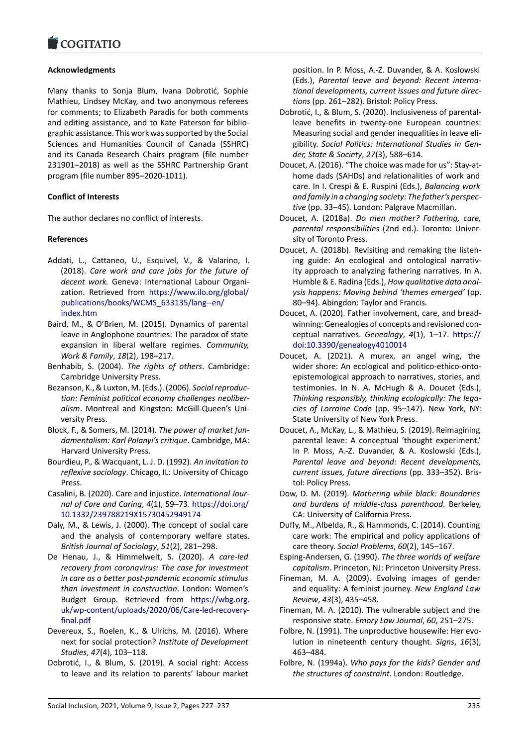### COGHALIO

### **Acknowledgments**

[Many thanks to So](https://www.cogitatiopress.com)nja Blum, Ivana Dobrotić, Sophie Mathieu, Lindsey McKay, and two anonymous referees for comments; to Elizabeth Paradis for both comments and editing assistance, and to Kate Paterson for biblio‐ graphic assistance. This work was supported by the Social Sciences and Humanities Council of Canada (SSHRC) and its Canada Research Chairs program (file number 231901–2018) as well as the SSHRC Partnership Grant program (file number 895–2020‐1011).

### **Conflict of Interests**

The author declares no conflict of interests.

# **References**

- Addati, L., Cattaneo, U., Esquivel, V., & Valarino, I. (2018). *Care work and care jobs for the future of decent work.* Geneva: International Labour Organi‐ zation. Retrieved from https://www.ilo.org/global/ publications/books/WCMS\_633135/lang‐‐en/ index.htm
- Baird, M., & O'Brien, M. (2015). Dynamics of parental leave in Anglophone co[untries: The paradox of state](https://www.ilo.org/global/publications/books/WCMS_633135/lang--en/index.htm) [expansion in liberal welfare regimes.](https://www.ilo.org/global/publications/books/WCMS_633135/lang--en/index.htm) *Community, [Work & Fa](https://www.ilo.org/global/publications/books/WCMS_633135/lang--en/index.htm)mily*, *18*(2), 198–217.
- Benhabib, S. (2004). *The rights of others*. Cambridge: Cambridge University Press.
- Bezanson, K., & Luxton, M. (Eds.). (2006). *Social reproduc‐ tion: Feminist political economy challenges neoliber‐ alism*. Montreal and Kingston: McGill‐Queen's Uni‐ versity Press.
- Block, F., & Somers, M. (2014). *The power of market fun‐ damentalism: Karl Polanyi's critique*. Cambridge, MA: Harvard University Press.
- Bourdieu, P., & Wacquant, L. J. D. (1992). *An invitation to reflexive sociology*. Chicago, IL: University of Chicago Press.
- Casalini, B. (2020). Care and injustice. *International Jour‐ nal of Care and Caring*, *4*(1), 59–73. https://doi.org/ 10.1332/239788219X15730452949174
- Daly, M., & Lewis, J. (2000). The concept of social care and the analysis of contemporary welfare states. *British Journal of Sociology*, *51*(2), 2[81–298.](https://doi.org/10.1332/239788219X15730452949174)
- De [Henau, J., & Himmelweit, S. \(2020\)](https://doi.org/10.1332/239788219X15730452949174). *A care‐led recovery from coronavirus: The case for investment in care as a better post‐pandemic economic stimulus than investment in construction*. London: Women's Budget Group. Retrieved from https://wbg.org. uk/wp‐content/uploads/2020/06/Care‐led‐recovery‐ final.pdf
- Devereux, S., Roelen, K., & Ulrichs, M. (2016). Where next for social protection? *Institute [of Development](https://wbg.org.uk/wp-content/uploads/2020/06/Care-led-recovery-final.pdf) Studies*, *47*[\(4\), 103–118.](https://wbg.org.uk/wp-content/uploads/2020/06/Care-led-recovery-final.pdf)
- Do[brotić, I.,](https://wbg.org.uk/wp-content/uploads/2020/06/Care-led-recovery-final.pdf) & Blum, S. (2019). A social right: Access to leave and its relation to parents' labour market

position. In P. Moss, A.‐Z. Duvander, & A. Koslowski (Eds.), *Parental leave and beyond: Recent interna‐ tional developments, current issues and future direc‐ tions* (pp. 261–282). Bristol: Policy Press.

- Dobrotić, I., & Blum, S. (2020). Inclusiveness of parental‐ leave benefits in twenty-one European countries: Measuring social and gender inequalities in leave eli‐ gibility. *Social Politics: International Studies in Gen‐ der, State & Society*, *27*(3), 588–614.
- Doucet, A. (2016). "The choice was made for us": Stay‐at‐ home dads (SAHDs) and relationalities of work and care. In I. Crespi & E. Ruspini (Eds.), *Balancing work and family in a changing society: The father's perspec‐ tive* (pp. 33–45). London: Palgrave Macmillan.
- Doucet, A. (2018a). *Do men mother? Fathering, care, parental responsibilities* (2nd ed.). Toronto: Univer‐ sity of Toronto Press.
- Doucet, A. (2018b). Revisiting and remaking the listen‐ ing guide: An ecological and ontological narrativ‐ ity approach to analyzing fathering narratives. In A. Humble & E. Radina (Eds.), *How qualitative data anal‐ ysis happens: Moving behind 'themes emerged'* (pp. 80–94). Abingdon: Taylor and Francis.
- Doucet, A. (2020). Father involvement, care, and bread‐ winning: Genealogies of concepts and revisioned con‐ ceptual narratives. *Genealogy*, *4*(1), 1–17. https:// doi:10.3390/genealogy4010014
- Doucet, A. (2021). A murex, an angel wing, the wider shore: An ecological and politico-ethico-ontoepistemological approach to narratives, stor[ies, and](https://doi: 10.3390/genealogy4010014) [testimonies. In N. A. McHugh](https://doi: 10.3390/genealogy4010014) & A. Doucet (Eds.), *Thinking responsibly, thinking ecologically: The lega‐ cies of Lorraine Code* (pp. 95–147). New York, NY: State University of New York Press.
- Doucet, A., McKay, L., & Mathieu, S. (2019). Reimagining parental leave: A conceptual 'thought experiment.' In P. Moss, A.‐Z. Duvander, & A. Koslowski (Eds.), *Parental leave and beyond: Recent developments, current issues, future directions* (pp. 333–352). Bris‐ tol: Policy Press.
- Dow, D. M. (2019). *Mothering while black: Boundaries and burdens of middle‐class parenthood*. Berkeley, CA: University of California Press.
- Duffy, M., Albelda, R., & Hammonds, C. (2014). Counting care work: The empirical and policy applications of care theory. *Social Problems*, *60*(2), 145–167.
- Esping‐Andersen, G. (1990). *The three worlds of welfare capitalism*. Princeton, NJ: Princeton University Press.
- Fineman, M. A. (2009). Evolving images of gender and equality: A feminist journey. *New England Law Review*, *43*(3), 435–458.
- Fineman, M. A. (2010). The vulnerable subject and the responsive state. *Emory Law Journal*, *60*, 251–275.
- Folbre, N. (1991). The unproductive housewife: Her evolution in nineteenth century thought. *Signs*, *16*(3), 463–484.
- Folbre, N. (1994a). *Who pays for the kids? Gender and the structures of constraint*. London: Routledge.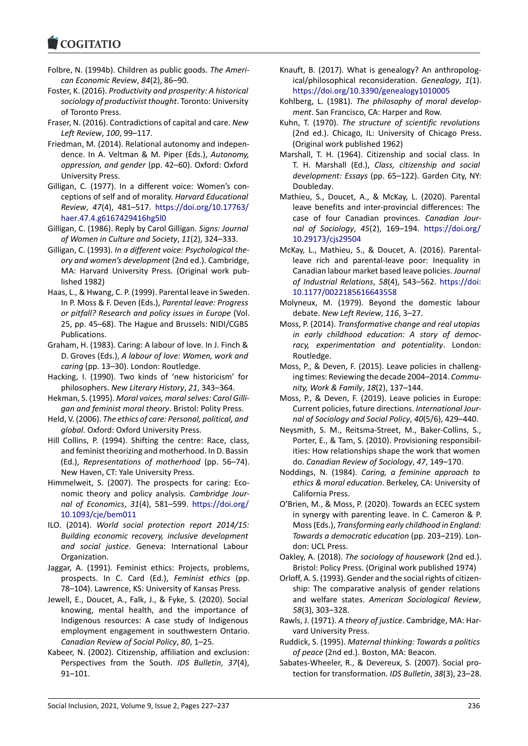### **LOGITATIO**

- Folbre, N. (1994b). Children as public goods. *The Ameri‐ [can Economic Rev](https://www.cogitatiopress.com)iew*, *84*(2), 86–90.
- Foster, K. (2016). *Productivity and prosperity: A historical sociology of productivist thought*. Toronto: University of Toronto Press.
- Fraser, N. (2016). Contradictions of capital and care. *New Left Review*, *100*, 99–117.
- Friedman, M. (2014). Relational autonomy and indepen‐ dence. In A. Veltman & M. Piper (Eds.), *Autonomy, oppression, and gender* (pp. 42–60). Oxford: Oxford University Press.
- Gilligan, C. (1977). In a different voice: Women's con‐ ceptions of self and of morality. *Harvard Educational Review*, *47*(4), 481–517. https://doi.org/10.17763/ haer.47.4.g6167429416hg5l0
- Gilligan, C. (1986). Reply by Carol Gilligan. *Signs: Journal of Women in Culture and Society*, *11*(2), 324–333.
- Gilligan, C. (1993). *In a differe[nt voice: Psychological the‐](https://doi.org/10.17763/haer.47.4.g6167429416hg5l0) [ory and women's developmen](https://doi.org/10.17763/haer.47.4.g6167429416hg5l0)t* (2nd ed.). Cambridge, MA: Harvard University Press. (Original work pub‐ lished 1982)
- Haas, L., & Hwang, C. P. (1999). Parental leave in Sweden. In P. Moss & F. Deven (Eds.), *Parental leave: Progress or pitfall? Research and policy issues in Europe* (Vol. 25, pp. 45–68). The Hague and Brussels: NIDI/CGBS Publications.
- Graham, H. (1983). Caring: A labour of love. In J. Finch & D. Groves (Eds.), *A labour of love: Women, work and caring* (pp. 13–30). London: Routledge.
- Hacking, I. (1990). Two kinds of 'new historicism' for philosophers. *New Literary History*, *21*, 343–364.
- Hekman, S. (1995). *Moral voices, moral selves: Carol Gilli‐ gan and feminist moral theory*. Bristol: Polity Press.
- Held, V. (2006). *The ethics of care: Personal, political, and global*. Oxford: Oxford University Press.
- Hill Collins, P. (1994). Shifting the centre: Race, class, and feminist theorizing and motherhood. In D. Bassin (Ed.), *Representations of motherhood* (pp. 56–74). New Haven, CT: Yale University Press.
- Himmelweit, S. (2007). The prospects for caring: Eco‐ nomic theory and policy analysis. *Cambridge Jour‐ nal of Economics*, *31*(4), 581–599. https://doi.org/ 10.1093/cje/bem011
- ILO. (2014). *World social protection report 2014/15: Building economic recovery, inclusive development and social justice*. Geneva: Inter[national Labour](https://doi.org/10.1093/cje/bem011) [Organization.](https://doi.org/10.1093/cje/bem011)
- Jaggar, A. (1991). Feminist ethics: Projects, problems, prospects. In C. Card (Ed.), *Feminist ethics* (pp. 78–104). Lawrence, KS: University of Kansas Press.
- Jewell, E., Doucet, A., Falk, J., & Fyke, S. (2020). Social knowing, mental health, and the importance of Indigenous resources: A case study of Indigenous employment engagement in southwestern Ontario. *Canadian Review of Social Policy*, *80*, 1–25.
- Kabeer, N. (2002). Citizenship, affiliation and exclusion: Perspectives from the South. *IDS Bulletin*, *37*(4), 91–101.
- Knauft, B. (2017). What is genealogy? An anthropolog‐ ical/philosophical reconsideration. *Genealogy*, *1*(1). https://doi.org/10.3390/genealogy1010005
- Kohlberg, L. (1981). *The philosophy of moral develop‐ ment*. San Francisco, CA: Harper and Row.
- Kuhn, T. (1970). *The structure of scientific revolutions* [\(2nd ed.\). Chicago, IL: University of Chicag](https://doi.org/10.3390/genealogy1010005)o Press. (Original work published 1962)
- Marshall, T. H. (1964). Citizenship and social class. In T. H. Marshall (Ed.), *Class, citizenship and social development: Essays* (pp. 65–122). Garden City, NY: Doubleday.
- Mathieu, S., Doucet, A., & McKay, L. (2020). Parental leave benefits and inter‐provincial differences: The case of four Canadian provinces. *Canadian Jour‐ nal of Sociology*, *45*(2), 169–194. https://doi.org/ 10.29173/cjs29504
- McKay, L., Mathieu, S., & Doucet, A. (2016). Parental‐ leave rich and parental‐leave poor: Inequality in Canadian labour market based leave [policies.](https://doi.org/10.29173/cjs29504) *Journal [of Industrial Relatio](https://doi.org/10.29173/cjs29504)ns*, *58*(4), 543–562. https://doi: 10.1177/0022185616643558
- Molyneux, M. (1979). Beyond the domestic labour debate. *New Left Review*, *116*, 3–27.
- Moss, P. (2014). *Transformative change and [real utopias](https://doi:10.1177/0022185616643558) [in early childhood educatio](https://doi:10.1177/0022185616643558)n: A story of democ‐ racy, experimentation and potentiality*. London: Routledge.
- Moss, P., & Deven, F. (2015). Leave policies in challeng‐ ing times: Reviewing the decade 2004–2014. *Commu‐ nity, Work & Family*, *18*(2), 137–144.
- Moss, P., & Deven, F. (2019). Leave policies in Europe: Current policies, future directions. *International Jour‐ nal of Sociology and Social Policy*, *40*(5/6), 429–440.
- Neysmith, S. M., Reitsma‐Street, M., Baker‐Collins, S., Porter, E., & Tam, S. (2010). Provisioning responsibil‐ ities: How relationships shape the work that women do. *Canadian Review of Sociology*, *47*, 149–170.
- Noddings, N. (1984). *Caring, a feminine approach to ethics & moral education*. Berkeley, CA: University of California Press.
- O'Brien, M., & Moss, P. (2020). Towards an ECEC system in synergy with parenting leave. In C. Cameron & P. Moss (Eds.), *Transforming early childhood in England: Towards a democratic education* (pp. 203–219). Lon‐ don: UCL Press.
- Oakley, A. (2018). *The sociology of housework* (2nd ed.). Bristol: Policy Press. (Original work published 1974)
- Orloff, A. S. (1993). Gender and the social rights of citizen‐ ship: The comparative analysis of gender relations and welfare states. *American Sociological Review*, *58*(3), 303–328.
- Rawls, J. (1971). *A theory of justice*. Cambridge, MA: Har‐ vard University Press.
- Ruddick, S. (1995). *Maternal thinking: Towards a politics of peace* (2nd ed.). Boston, MA: Beacon.
- Sabates‐Wheeler, R., & Devereux, S. (2007). Social pro‐ tection for transformation. *IDS Bulletin*, *38*(3), 23–28.